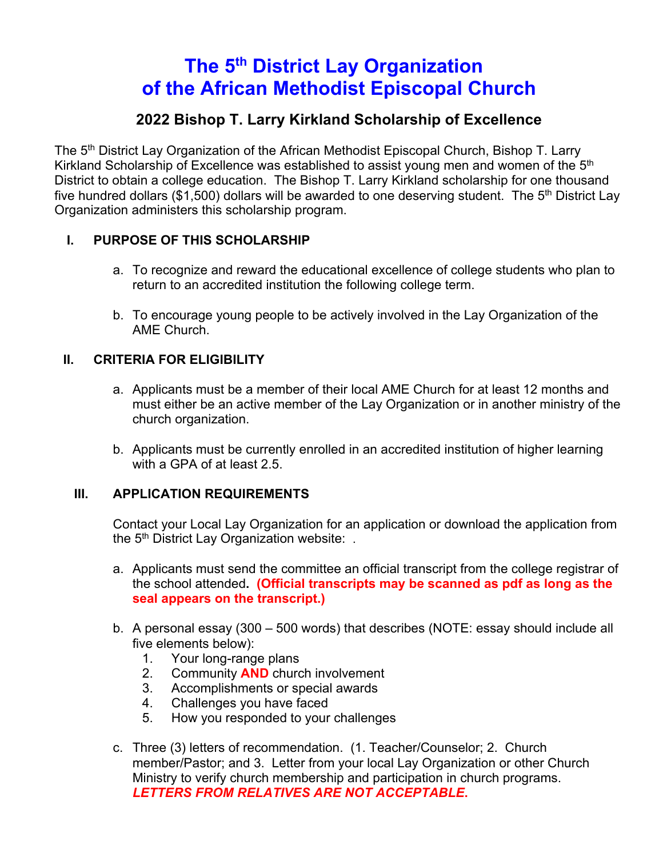# **The 5th District Lay Organization of the African Methodist Episcopal Church**

### **2022 Bishop T. Larry Kirkland Scholarship of Excellence**

The 5<sup>th</sup> District Lay Organization of the African Methodist Episcopal Church, Bishop T. Larry Kirkland Scholarship of Excellence was established to assist young men and women of the 5<sup>th</sup> District to obtain a college education. The Bishop T. Larry Kirkland scholarship for one thousand five hundred dollars (\$1,500) dollars will be awarded to one deserving student. The  $5<sup>th</sup>$  District Lay Organization administers this scholarship program.

#### **I. PURPOSE OF THIS SCHOLARSHIP**

- a. To recognize and reward the educational excellence of college students who plan to return to an accredited institution the following college term.
- b. To encourage young people to be actively involved in the Lay Organization of the AME Church.

#### **II. CRITERIA FOR ELIGIBILITY**

- a. Applicants must be a member of their local AME Church for at least 12 months and must either be an active member of the Lay Organization or in another ministry of the church organization.
- b. Applicants must be currently enrolled in an accredited institution of higher learning with a GPA of at least 2.5.

#### **III. APPLICATION REQUIREMENTS**

Contact your Local Lay Organization for an application or download the application from the  $5<sup>th</sup>$  District Lay Organization website: .

- a. Applicants must send the committee an official transcript from the college registrar of the school attended**. (Official transcripts may be scanned as pdf as long as the seal appears on the transcript.)**
- b. A personal essay (300 500 words) that describes (NOTE: essay should include all five elements below):
	- 1. Your long-range plans
	- 2. Community **AND** church involvement
	- 3. Accomplishments or special awards
	- 4. Challenges you have faced
	- 5. How you responded to your challenges
- c. Three (3) letters of recommendation. (1. Teacher/Counselor; 2. Church member/Pastor; and 3. Letter from your local Lay Organization or other Church Ministry to verify church membership and participation in church programs. *LETTERS FROM RELATIVES ARE NOT ACCEPTABLE***.**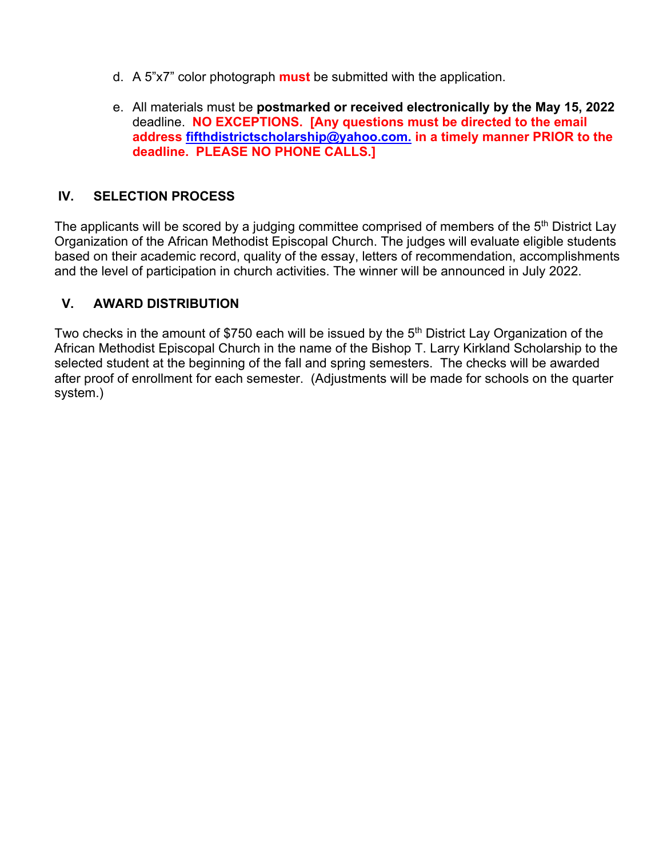- d. A 5"x7" color photograph **must** be submitted with the application.
- e. All materials must be **postmarked or received electronically by the May 15, 2022** deadline. **NO EXCEPTIONS. [Any questions must be directed to the email address fifthdistrictscholarship@yahoo.com. in a timely manner PRIOR to the deadline. PLEASE NO PHONE CALLS.]**

#### **IV. SELECTION PROCESS**

The applicants will be scored by a judging committee comprised of members of the 5<sup>th</sup> District Lay Organization of the African Methodist Episcopal Church. The judges will evaluate eligible students based on their academic record, quality of the essay, letters of recommendation, accomplishments and the level of participation in church activities. The winner will be announced in July 2022.

#### **V. AWARD DISTRIBUTION**

Two checks in the amount of \$750 each will be issued by the  $5<sup>th</sup>$  District Lay Organization of the African Methodist Episcopal Church in the name of the Bishop T. Larry Kirkland Scholarship to the selected student at the beginning of the fall and spring semesters. The checks will be awarded after proof of enrollment for each semester. (Adjustments will be made for schools on the quarter system.)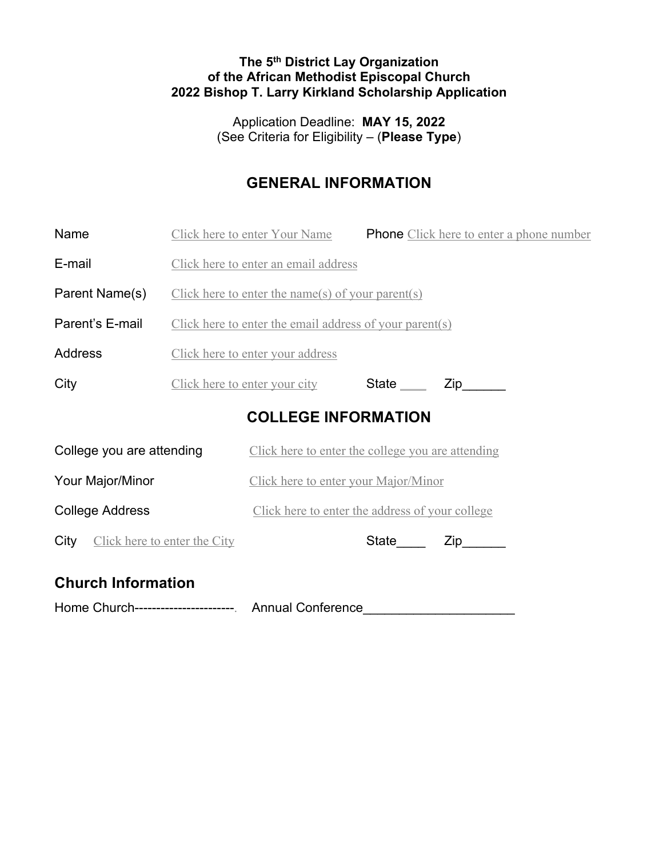#### **The 5th District Lay Organization of the African Methodist Episcopal Church 2022 Bishop T. Larry Kirkland Scholarship Application**

Application Deadline: **MAY 15, 2022** (See Criteria for Eligibility – (**Please Type**)

### **GENERAL INFORMATION**

| Name                                     |                                                         | <u>Click here to enter Your Name</u>                  |                               | <b>Phone</b> Click here to enter a phone number |
|------------------------------------------|---------------------------------------------------------|-------------------------------------------------------|-------------------------------|-------------------------------------------------|
| E-mail                                   | Click here to enter an email address                    |                                                       |                               |                                                 |
| Parent Name(s)                           | Click here to enter the name(s) of your parent(s)       |                                                       |                               |                                                 |
| Parent's E-mail                          | Click here to enter the email address of your parent(s) |                                                       |                               |                                                 |
| Address                                  | Click here to enter your address                        |                                                       |                               |                                                 |
| City                                     |                                                         | Click here to enter your city                         | State ____ Zip_____           |                                                 |
| <b>COLLEGE INFORMATION</b>               |                                                         |                                                       |                               |                                                 |
| College you are attending                |                                                         | Click here to enter the college you are attending     |                               |                                                 |
| Your Major/Minor                         |                                                         | Click here to enter your Major/Minor                  |                               |                                                 |
| <b>College Address</b>                   |                                                         | Click here to enter the address of your college       |                               |                                                 |
| <b>City</b> Click here to enter the City |                                                         |                                                       | State___________ Zip_________ |                                                 |
| <b>Church Information</b>                |                                                         |                                                       |                               |                                                 |
|                                          |                                                         | Home Church-----------------------. Annual Conference |                               |                                                 |